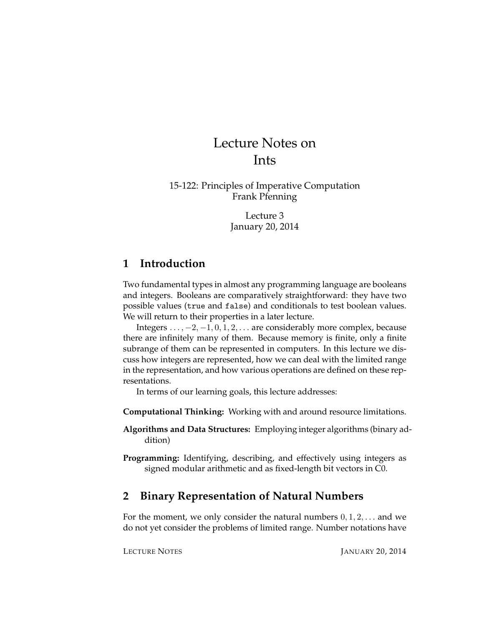# Lecture Notes on Ints

15-122: Principles of Imperative Computation Frank Pfenning

> Lecture 3 January 20, 2014

## **1 Introduction**

Two fundamental types in almost any programming language are booleans and integers. Booleans are comparatively straightforward: they have two possible values (true and false) and conditionals to test boolean values. We will return to their properties in a later lecture.

Integers  $\dots$ ,  $-2$ ,  $-1$ ,  $0$ ,  $1$ ,  $2$ ,  $\dots$  are considerably more complex, because there are infinitely many of them. Because memory is finite, only a finite subrange of them can be represented in computers. In this lecture we discuss how integers are represented, how we can deal with the limited range in the representation, and how various operations are defined on these representations.

In terms of our learning goals, this lecture addresses:

**Computational Thinking:** Working with and around resource limitations.

- **Algorithms and Data Structures:** Employing integer algorithms (binary addition)
- **Programming:** Identifying, describing, and effectively using integers as signed modular arithmetic and as fixed-length bit vectors in C0.

# **2 Binary Representation of Natural Numbers**

For the moment, we only consider the natural numbers  $0, 1, 2, \ldots$  and we do not yet consider the problems of limited range. Number notations have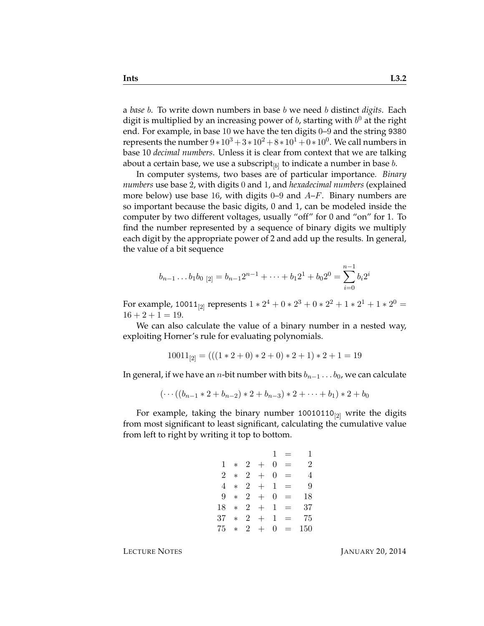a *base* b. To write down numbers in base b we need b distinct *digits*. Each digit is multiplied by an increasing power of  $b$ , starting with  $b^0$  at the right end. For example, in base 10 we have the ten digits 0–9 and the string 9380 represents the number  $9*10^3 + 3*10^2 + 8*10^1 + 0*10^0$ . We call numbers in base 10 *decimal numbers*. Unless it is clear from context that we are talking about a certain base, we use a subscript $_{[b]}$  to indicate a number in base  $b.$ 

In computer systems, two bases are of particular importance. *Binary numbers* use base 2, with digits 0 and 1, and *hexadecimal numbers* (explained more below) use base 16, with digits 0–9 and  $A-F$ . Binary numbers are so important because the basic digits, 0 and 1, can be modeled inside the computer by two different voltages, usually "off" for 0 and "on" for 1. To find the number represented by a sequence of binary digits we multiply each digit by the appropriate power of 2 and add up the results. In general, the value of a bit sequence

$$
b_{n-1} \dots b_1 b_0 \,_{[2]} = b_{n-1} 2^{n-1} + \dots + b_1 2^1 + b_0 2^0 = \sum_{i=0}^{n-1} b_i 2^i
$$

For example, 10011<sub>[2]</sub> represents  $1 * 2^4 + 0 * 2^3 + 0 * 2^2 + 1 * 2^1 + 1 * 2^0 =$  $16 + 2 + 1 = 19$ .

We can also calculate the value of a binary number in a nested way, exploiting Horner's rule for evaluating polynomials.

$$
10011_{[2]} = (((1 * 2 + 0) * 2 + 0) * 2 + 1) * 2 + 1 = 19
$$

In general, if we have an *n*-bit number with bits  $b_{n-1} \ldots b_0$ , we can calculate

$$
(\cdots((b_{n-1}*2+b_{n-2})*2+b_{n-3})*2+\cdots+b_1)*2+b_0
$$

For example, taking the binary number  $10010110_{[2]}$  write the digits from most significant to least significant, calculating the cumulative value from left to right by writing it top to bottom.

> $1 = 1$  $1 * 2 + 0 = 2$  $2 * 2 + 0 = 4$  $4 * 2 + 1 = 9$  $9 * 2 + 0 = 18$  $18 * 2 + 1 = 37$  $37 * 2 + 1 = 75$  $75 * 2 + 0 = 150$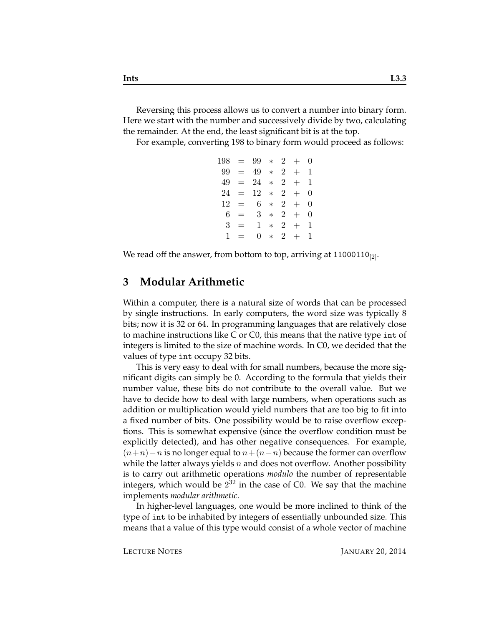Reversing this process allows us to convert a number into binary form. Here we start with the number and successively divide by two, calculating the remainder. At the end, the least significant bit is at the top.

For example, converting 198 to binary form would proceed as follows:

|     |           | $198 = 99 * 2 +$ |        |                |           | $\theta$ |
|-----|-----------|------------------|--------|----------------|-----------|----------|
| 99- | $\equiv$  | 49               |        |                | $* \ 2 +$ | 1        |
|     | $49 = 24$ |                  | $*$    | $\overline{2}$ | $+$       | 1        |
| 24  | $\equiv$  | 12               | $*$    | $2^{\circ}$    | $+$       | 0        |
| 12  | $=$ $-$   | 6.               | $\ast$ | $2^{\circ}$    | $+$       | 0        |
| 6   | $=$       | $3^-$            | $\ast$ | $\overline{2}$ | $+$       | 0        |
| 3   | $=$       | 1.               | $\ast$ | $2^{\circ}$    | $^{+}$    | 1        |
| 1   | $=$       | 0                | $\ast$ | $2^{\circ}$    | $+$       | 1        |
|     |           |                  |        |                |           |          |

We read off the answer, from bottom to top, arriving at 11000110 $_{[2]}$ .

#### **3 Modular Arithmetic**

Within a computer, there is a natural size of words that can be processed by single instructions. In early computers, the word size was typically 8 bits; now it is 32 or 64. In programming languages that are relatively close to machine instructions like C or C0, this means that the native type int of integers is limited to the size of machine words. In C0, we decided that the values of type int occupy 32 bits.

This is very easy to deal with for small numbers, because the more significant digits can simply be 0. According to the formula that yields their number value, these bits do not contribute to the overall value. But we have to decide how to deal with large numbers, when operations such as addition or multiplication would yield numbers that are too big to fit into a fixed number of bits. One possibility would be to raise overflow exceptions. This is somewhat expensive (since the overflow condition must be explicitly detected), and has other negative consequences. For example,  $(n+n)-n$  is no longer equal to  $n+(n-n)$  because the former can overflow while the latter always yields n and does not overflow. Another possibility is to carry out arithmetic operations *modulo* the number of representable integers, which would be  $2^{32}$  in the case of C0. We say that the machine implements *modular arithmetic*.

In higher-level languages, one would be more inclined to think of the type of int to be inhabited by integers of essentially unbounded size. This means that a value of this type would consist of a whole vector of machine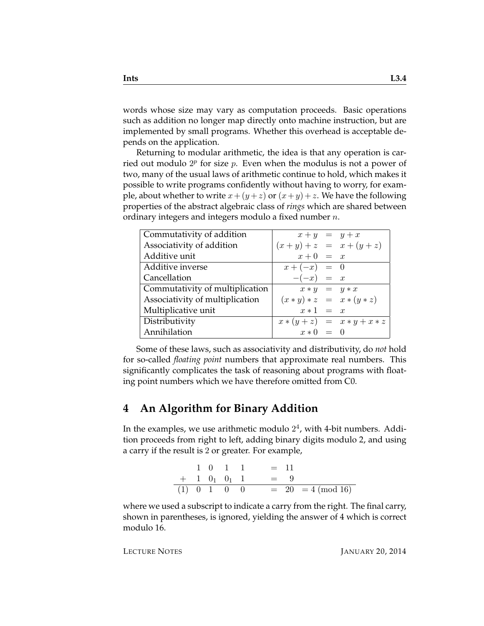words whose size may vary as computation proceeds. Basic operations such as addition no longer map directly onto machine instruction, but are implemented by small programs. Whether this overhead is acceptable depends on the application.

Returning to modular arithmetic, the idea is that any operation is carried out modulo  $2^p$  for size  $p$ . Even when the modulus is not a power of two, many of the usual laws of arithmetic continue to hold, which makes it possible to write programs confidently without having to worry, for example, about whether to write  $x + (y + z)$  or  $(x + y) + z$ . We have the following properties of the abstract algebraic class of *rings* which are shared between ordinary integers and integers modulo a fixed number  $n$ .

| Commutativity of addition       | $x + y = y + x$             |                               |
|---------------------------------|-----------------------------|-------------------------------|
| Associativity of addition       | $(x + y) + z = x + (y + z)$ |                               |
| Additive unit                   | $x+0 = x$                   |                               |
| Additive inverse                | $x + (-x) = 0$              |                               |
| Cancellation                    | $-(-x) = x$                 |                               |
| Commutativity of multiplication | $x * y = y * x$             |                               |
| Associativity of multiplication |                             | $(x * y) * z = x * (y * z)$   |
| Multiplicative unit             | $x * 1 = x$                 |                               |
| Distributivity                  |                             | $x * (y + z) = x * y + x * z$ |
| Annihilation                    | $x * 0 = 0$                 |                               |

Some of these laws, such as associativity and distributivity, do *not* hold for so-called *floating point* numbers that approximate real numbers. This significantly complicates the task of reasoning about programs with floating point numbers which we have therefore omitted from C0.

## **4 An Algorithm for Binary Addition**

In the examples, we use arithmetic modulo  $2^4$ , with 4-bit numbers. Addition proceeds from right to left, adding binary digits modulo 2, and using a carry if the result is 2 or greater. For example,

|  |  | $1 \t0 \t1 \t1 \t= 11$                    |
|--|--|-------------------------------------------|
|  |  | $+$ 1 0 <sub>1</sub> 0 <sub>1</sub> 1 = 9 |
|  |  | (1) 0 1 0 0 = 20 = 4 (mod 16)             |

where we used a subscript to indicate a carry from the right. The final carry, shown in parentheses, is ignored, yielding the answer of 4 which is correct modulo 16.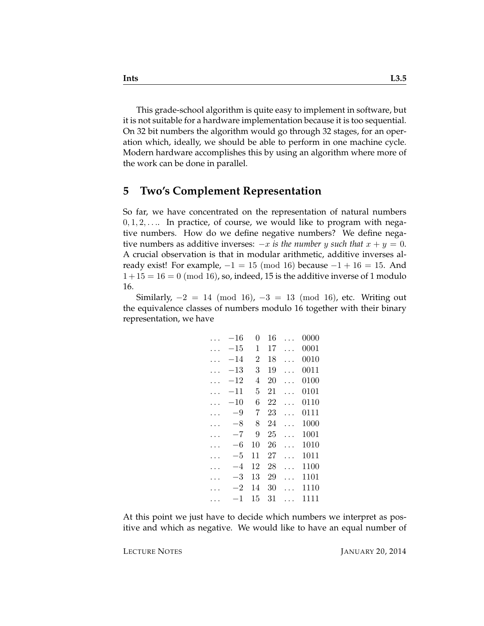This grade-school algorithm is quite easy to implement in software, but it is not suitable for a hardware implementation because it is too sequential. On 32 bit numbers the algorithm would go through 32 stages, for an operation which, ideally, we should be able to perform in one machine cycle. Modern hardware accomplishes this by using an algorithm where more of the work can be done in parallel.

### **5 Two's Complement Representation**

So far, we have concentrated on the representation of natural numbers  $0, 1, 2, \ldots$  In practice, of course, we would like to program with negative numbers. How do we define negative numbers? We define negative numbers as additive inverses:  $-x$  *is the number y such that*  $x + y = 0$ . A crucial observation is that in modular arithmetic, additive inverses already exist! For example,  $-1 = 15 \pmod{16}$  because  $-1 + 16 = 15$ . And  $1+15=16=0$  (mod 16), so, indeed, 15 is the additive inverse of 1 modulo 16.

Similarly,  $-2 = 14 \pmod{16}$ ,  $-3 = 13 \pmod{16}$ , etc. Writing out the equivalence classes of numbers modulo 16 together with their binary representation, we have

| $-16\,$      | 0              | 16 | 0000 |
|--------------|----------------|----|------|
| $-15\,$      | 1              | 17 | 0001 |
| -14          | $\overline{2}$ | 18 | 0010 |
| $^{-13}$     | 3              | 19 | 0011 |
| $^{\rm -12}$ | 4              | 20 | 0100 |
| -11          | 5              | 21 | 0101 |
| $^{-10}$     | 6              | 22 | 0110 |
| -9           | 7              | 23 | 0111 |
| $-8$         | 8              | 24 | 1000 |
| -7           | 9              | 25 | 1001 |
| -6           | 10             | 26 | 1010 |
| -5           | 11             | 27 | 1011 |
| -4           | 12             | 28 | 1100 |
| -3           | 13             | 29 | 1101 |
| -2           | 14             | 30 | 1110 |
| 1            | 15             | 31 | 1111 |
|              |                |    |      |

At this point we just have to decide which numbers we interpret as positive and which as negative. We would like to have an equal number of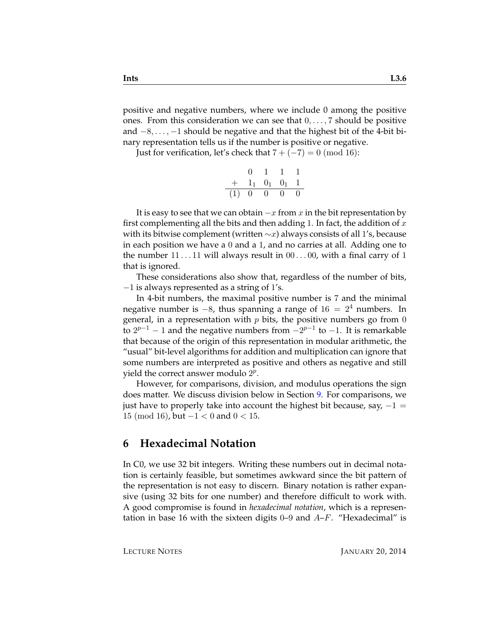positive and negative numbers, where we include 0 among the positive ones. From this consideration we can see that  $0, \ldots, 7$  should be positive and  $-8, \ldots, -1$  should be negative and that the highest bit of the 4-bit binary representation tells us if the number is positive or negative.

Just for verification, let's check that  $7 + (-7) = 0 \pmod{16}$ :

|     |    | Ŧ.       |                     |          |
|-----|----|----------|---------------------|----------|
| $+$ |    |          | $1_1$ $0_1$ $0_1$ 1 |          |
| (1) | -0 | $\Omega$ | $\mathbf{0}$        | $\theta$ |

It is easy to see that we can obtain  $-x$  from x in the bit representation by first complementing all the bits and then adding 1. In fact, the addition of  $x$ with its bitwise complement (written  $\sim x$ ) always consists of all 1's, because in each position we have a 0 and a 1, and no carries at all. Adding one to the number  $11 \ldots 11$  will always result in  $00 \ldots 00$ , with a final carry of 1 that is ignored.

These considerations also show that, regardless of the number of bits,  $-1$  is always represented as a string of 1's.

In 4-bit numbers, the maximal positive number is 7 and the minimal negative number is  $-8$ , thus spanning a range of  $16 = 2<sup>4</sup>$  numbers. In general, in a representation with  $p$  bits, the positive numbers go from 0 to  $2^{p-1}$  − 1 and the negative numbers from  $-2^{p-1}$  to −1. It is remarkable that because of the origin of this representation in modular arithmetic, the "usual" bit-level algorithms for addition and multiplication can ignore that some numbers are interpreted as positive and others as negative and still yield the correct answer modulo  $2^p$ .

However, for comparisons, division, and modulus operations the sign does matter. We discuss division below in Section [9.](#page-8-0) For comparisons, we just have to properly take into account the highest bit because, say,  $-1 =$ 15 (mod 16), but  $-1 < 0$  and  $0 < 15$ .

## **6 Hexadecimal Notation**

In C0, we use 32 bit integers. Writing these numbers out in decimal notation is certainly feasible, but sometimes awkward since the bit pattern of the representation is not easy to discern. Binary notation is rather expansive (using 32 bits for one number) and therefore difficult to work with. A good compromise is found in *hexadecimal notation*, which is a representation in base 16 with the sixteen digits  $0-9$  and  $A-F$ . "Hexadecimal" is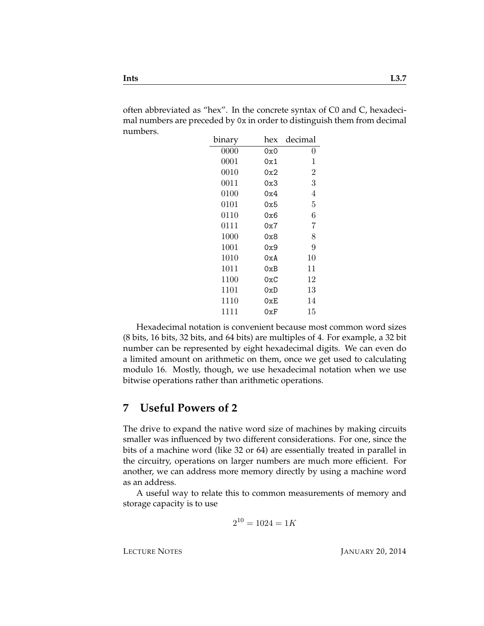often abbreviated as "hex". In the concrete syntax of C0 and C, hexadecimal numbers are preceded by 0x in order to distinguish them from decimal numbers.

| binary                              | hex | decimal        |
|-------------------------------------|-----|----------------|
| 0000                                | 0x0 | 0              |
| 0001                                | 0x1 | 1              |
| 0010                                | 0x2 | $\overline{2}$ |
| 0011                                | 0x3 | 3              |
| 0100                                | 0x4 | 4              |
| $\begin{array}{c} 0101 \end{array}$ | 0x5 | 5              |
| 0110                                | 0x6 | 6              |
| 0111                                | 0x7 | 7              |
| 1000                                | 0x8 | 8              |
| 1001                                | 0x9 | 9              |
| 1010                                | 0xA | 10             |
| 1011                                | 0xB | 11             |
| 1100                                | 0xC | 12             |
| 1101                                | 0xD | 13             |
| 1110                                | 0xE | 14             |
| 1111                                | 0xF | 15             |

Hexadecimal notation is convenient because most common word sizes (8 bits, 16 bits, 32 bits, and 64 bits) are multiples of 4. For example, a 32 bit number can be represented by eight hexadecimal digits. We can even do a limited amount on arithmetic on them, once we get used to calculating modulo 16. Mostly, though, we use hexadecimal notation when we use bitwise operations rather than arithmetic operations.

## **7 Useful Powers of 2**

The drive to expand the native word size of machines by making circuits smaller was influenced by two different considerations. For one, since the bits of a machine word (like 32 or 64) are essentially treated in parallel in the circuitry, operations on larger numbers are much more efficient. For another, we can address more memory directly by using a machine word as an address.

A useful way to relate this to common measurements of memory and storage capacity is to use

$$
2^{10} = 1024 = 1K
$$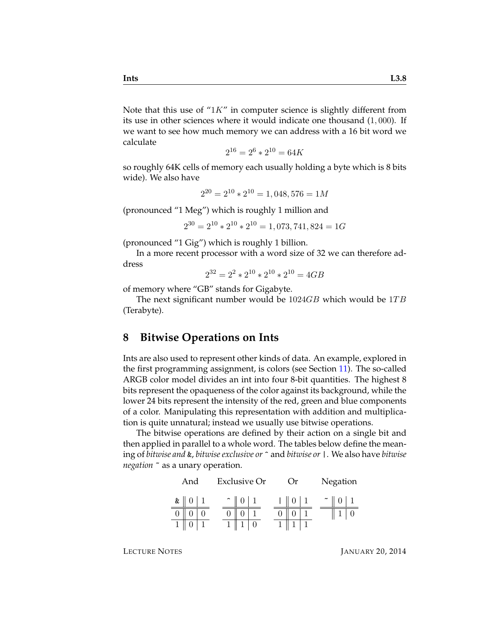Note that this use of " $1K$ " in computer science is slightly different from its use in other sciences where it would indicate one thousand (1, 000). If we want to see how much memory we can address with a 16 bit word we calculate

$$
2^{16} = 2^6 \times 2^{10} = 64K
$$

so roughly 64K cells of memory each usually holding a byte which is 8 bits wide). We also have

$$
2^{20} = 2^{10} \times 2^{10} = 1,048,576 = 1M
$$

(pronounced "1 Meg") which is roughly 1 million and

$$
2^{30} = 2^{10} \times 2^{10} \times 2^{10} = 1,073,741,824 = 1G
$$

(pronounced "1 Gig") which is roughly 1 billion.

In a more recent processor with a word size of 32 we can therefore address

$$
2^{32} = 2^2 \times 2^{10} \times 2^{10} \times 2^{10} = 4GB
$$

of memory where "GB" stands for Gigabyte.

The next significant number would be  $1024GB$  which would be  $1TB$ (Terabyte).

## **8 Bitwise Operations on Ints**

Ints are also used to represent other kinds of data. An example, explored in the first programming assignment, is colors (see Section [11\)](#page-10-0). The so-called ARGB color model divides an int into four 8-bit quantities. The highest 8 bits represent the opaqueness of the color against its background, while the lower 24 bits represent the intensity of the red, green and blue components of a color. Manipulating this representation with addition and multiplication is quite unnatural; instead we usually use bitwise operations.

The bitwise operations are defined by their action on a single bit and then applied in parallel to a whole word. The tables below define the meaning of *bitwise and* &, *bitwise exclusive or* ^ and *bitwise or* |. We also have *bitwise negation* ~ as a unary operation.

| And                         | <b>Exclusive Or</b> |  | Or) |  |        | Negation   |  |
|-----------------------------|---------------------|--|-----|--|--------|------------|--|
| $\boldsymbol{\&} \parallel$ |                     |  |     |  | $\sim$ | $0 \mid 1$ |  |
|                             |                     |  |     |  |        |            |  |
|                             |                     |  |     |  |        |            |  |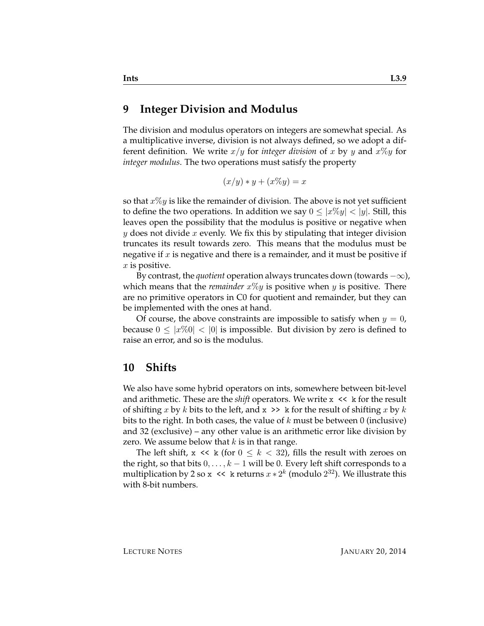#### <span id="page-8-0"></span>**9 Integer Division and Modulus**

The division and modulus operators on integers are somewhat special. As a multiplicative inverse, division is not always defined, so we adopt a different definition. We write  $x/y$  for *integer division* of x by y and  $x\%y$  for *integer modulus*. The two operations must satisfy the property

$$
(x/y) * y + (x\%y) = x
$$

so that  $x\%y$  is like the remainder of division. The above is not yet sufficient to define the two operations. In addition we say  $0 \leq |x\%y| < |y|$ . Still, this leaves open the possibility that the modulus is positive or negative when y does not divide x evenly. We fix this by stipulating that integer division truncates its result towards zero. This means that the modulus must be negative if  $x$  is negative and there is a remainder, and it must be positive if  $x$  is positive.

By contrast, the *quotient* operation always truncates down (towards  $-\infty$ ), which means that the *remainder*  $x\%y$  is positive when  $y$  is positive. There are no primitive operators in C0 for quotient and remainder, but they can be implemented with the ones at hand.

Of course, the above constraints are impossible to satisfy when  $y = 0$ , because  $0 \leq |x\%0| < 0$  is impossible. But division by zero is defined to raise an error, and so is the modulus.

#### **10 Shifts**

We also have some hybrid operators on ints, somewhere between bit-level and arithmetic. These are the *shift* operators. We write  $x \leq k$  for the result of shifting x by k bits to the left, and  $x \gg k$  for the result of shifting x by k bits to the right. In both cases, the value of  $k$  must be between 0 (inclusive) and 32 (exclusive) – any other value is an arithmetic error like division by zero. We assume below that  $k$  is in that range.

The left shift,  $x \ll k$  (for  $0 \leq k < 32$ ), fills the result with zeroes on the right, so that bits  $0, \ldots, k-1$  will be 0. Every left shift corresponds to a multiplication by 2 so x << k returns  $x * 2^k$  (modulo  $2^{32}$ ). We illustrate this with 8-bit numbers.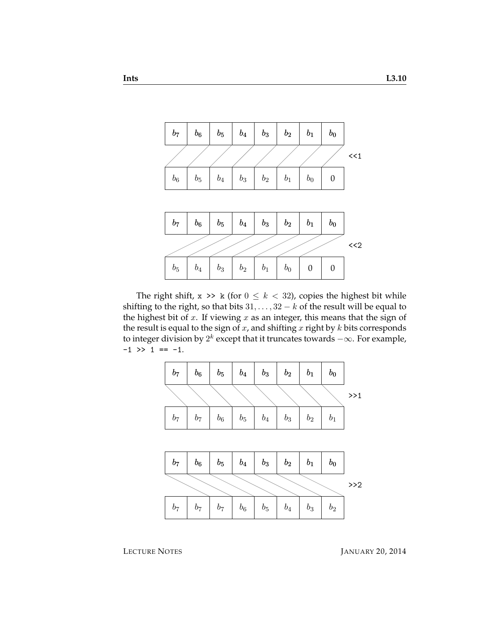

The right shift,  $x \gg k$  (for  $0 \le k < 32$ ), copies the highest bit while shifting to the right, so that bits  $31, \ldots, 32 - k$  of the result will be equal to the highest bit of  $x$ . If viewing  $x$  as an integer, this means that the sign of the result is equal to the sign of  $x$ , and shifting  $x$  right by  $k$  bits corresponds to integer division by  $2^k$  except that it truncates towards  $-\infty.$  For example,  $-1$  >> 1 ==  $-1$ .

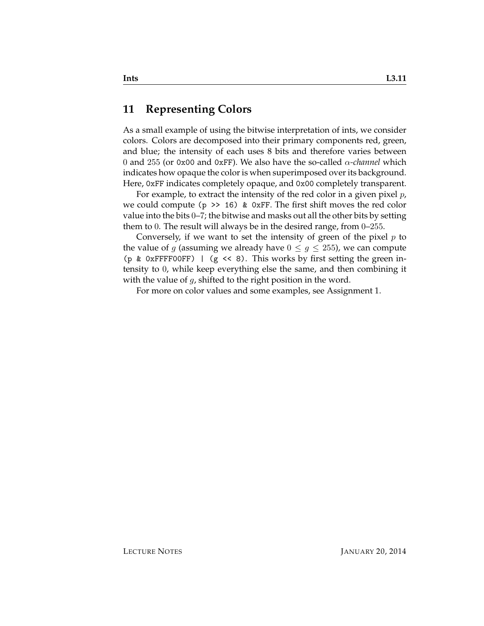### <span id="page-10-0"></span>**11 Representing Colors**

As a small example of using the bitwise interpretation of ints, we consider colors. Colors are decomposed into their primary components red, green, and blue; the intensity of each uses 8 bits and therefore varies between 0 and 255 (or 0x00 and 0xFF). We also have the so-called α*-channel* which indicates how opaque the color is when superimposed over its background. Here, 0xFF indicates completely opaque, and 0x00 completely transparent.

For example, to extract the intensity of the red color in a given pixel  $p$ , we could compute ( $p \gg 16$ ) & 0xFF. The first shift moves the red color value into the bits 0–7; the bitwise and masks out all the other bits by setting them to 0. The result will always be in the desired range, from 0–255.

Conversely, if we want to set the intensity of green of the pixel  $p$  to the value of g (assuming we already have  $0 \leq g \leq 255$ ), we can compute (p & 0xFFFF00FF) | (g << 8). This works by first setting the green intensity to 0, while keep everything else the same, and then combining it with the value of  $q$ , shifted to the right position in the word.

For more on color values and some examples, see Assignment 1.